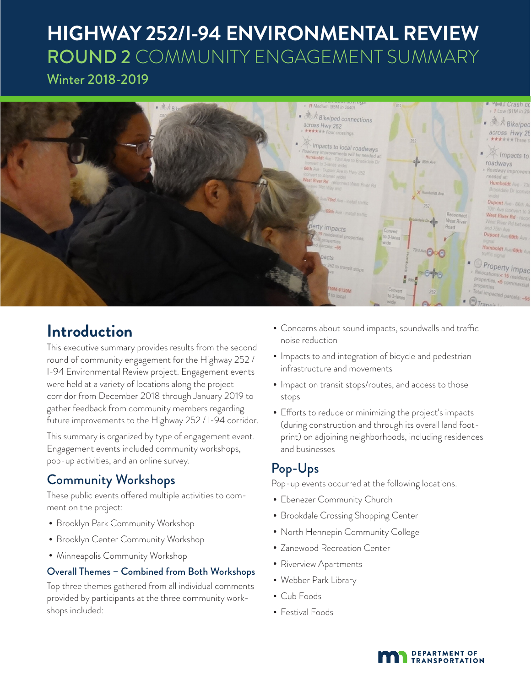# **HIGHWAY 252/I-94 ENVIRONMENTAL REVIEW** ROUND 2 COMMUNITY ENGAGEMENT SUMMARY Winter 2018-2019



# **Introduction**

This executive summary provides results from the second round of community engagement for the Highway 252 / I-94 Environmental Review project. Engagement events were held at a variety of locations along the project corridor from December 2018 through January 2019 to gather feedback from community members regarding future improvements to the Highway 252 / I-94 corridor.

This summary is organized by type of engagement event. Engagement events included community workshops, pop-up activities, and an online survey.

### Community Workshops

These public events offered multiple activities to comment on the project:

- Brooklyn Park Community Workshop
- Brooklyn Center Community Workshop
- Minneapolis Community Workshop

### Overall Themes – Combined from Both Workshops

Top three themes gathered from all individual comments provided by participants at the three community workshops included:

- Concerns about sound impacts, soundwalls and traffic noise reduction
- •Impacts to and integration of bicycle and pedestrian infrastructure and movements
- •Impact on transit stops/routes, and access to those stops
- Efforts to reduce or minimizing the project's impacts (during construction and through its overall land footprint) on adjoining neighborhoods, including residences and businesses

### Pop-Ups

Pop-up events occurred at the following locations.

- Ebenezer Community Church
- Brookdale Crossing Shopping Center
- North Hennepin Community College
- Zanewood Recreation Center
- Riverview Apartments
- Webber Park Library
- Cub Foods
- Festival Foods